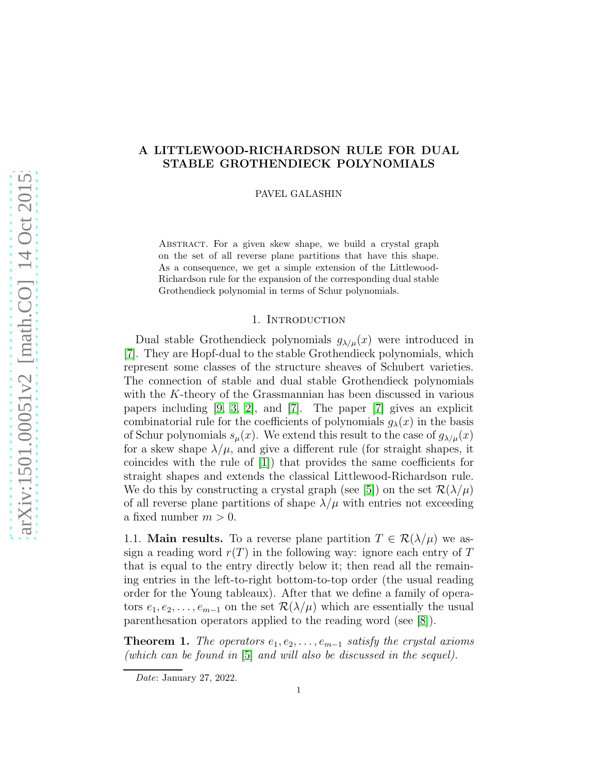# A LITTLEWOOD-RICHARDSON RULE FOR DUAL STABLE GROTHENDIECK POLYNOMIALS

PAVEL GALASHIN

Abstract. For a given skew shape, we build a crystal graph on the set of all reverse plane partitions that have this shape. As a consequence, we get a simple extension of the Littlewood-Richardson rule for the expansion of the corresponding dual stable Grothendieck polynomial in terms of Schur polynomials.

## 1. Introduction

Dual stable Grothendieck polynomials  $g_{\lambda/\mu}(x)$  were introduced in [\[7\]](#page-12-0). They are Hopf-dual to the stable Grothendieck polynomials, which represent some classes of the structure sheaves of Schubert varieties. The connection of stable and dual stable Grothendieck polynomials with the K-theory of the Grassmannian has been discussed in various papers including [\[9,](#page-13-0) [3,](#page-12-1) [2\]](#page-12-2), and [\[7\]](#page-12-0). The paper [\[7\]](#page-12-0) gives an explicit combinatorial rule for the coefficients of polynomials  $g_{\lambda}(x)$  in the basis of Schur polynomials  $s_\mu(x)$ . We extend this result to the case of  $g_{\lambda/\mu}(x)$ for a skew shape  $\lambda/\mu$ , and give a different rule (for straight shapes, it coincides with the rule of [\[1\]](#page-12-3)) that provides the same coefficients for straight shapes and extends the classical Littlewood-Richardson rule. We do this by constructing a crystal graph (see [\[5\]](#page-12-4)) on the set  $\mathcal{R}(\lambda/\mu)$ of all reverse plane partitions of shape  $\lambda/\mu$  with entries not exceeding a fixed number  $m > 0$ .

1.1. **Main results.** To a reverse plane partition  $T \in \mathcal{R}(\lambda/\mu)$  we assign a reading word  $r(T)$  in the following way: ignore each entry of T that is equal to the entry directly below it; then read all the remaining entries in the left-to-right bottom-to-top order (the usual reading order for the Young tableaux). After that we define a family of operators  $e_1, e_2, \ldots, e_{m-1}$  on the set  $\mathcal{R}(\lambda/\mu)$  which are essentially the usual parenthesation operators applied to the reading word (see [\[8\]](#page-12-5)).

<span id="page-0-0"></span>**Theorem 1.** The operators  $e_1, e_2, \ldots, e_{m-1}$  satisfy the crystal axioms (which can be found in [\[5\]](#page-12-4) and will also be discussed in the sequel).

Date: January 27, 2022.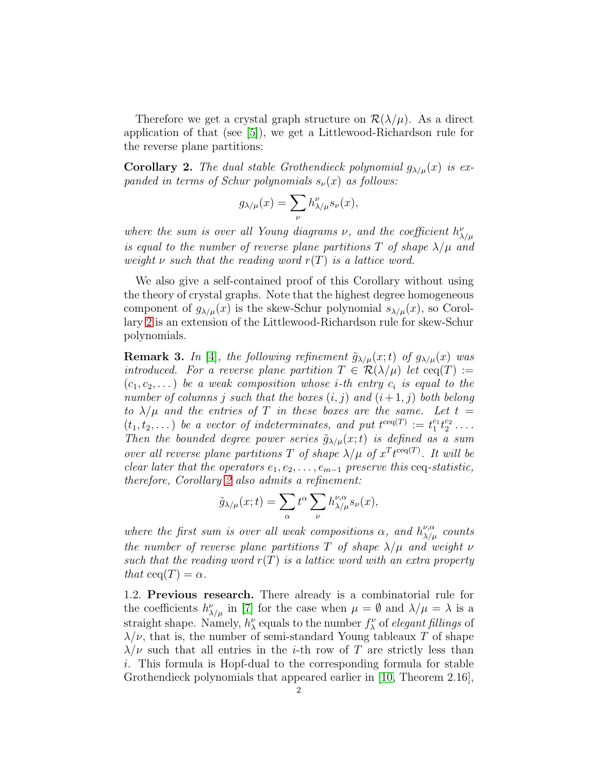Therefore we get a crystal graph structure on  $\mathcal{R}(\lambda/\mu)$ . As a direct application of that (see [\[5\]](#page-12-4)), we get a Littlewood-Richardson rule for the reverse plane partitions:

<span id="page-1-0"></span>**Corollary 2.** The dual stable Grothendieck polynomial  $g_{\lambda/\mu}(x)$  is expanded in terms of Schur polynomials  $s_{\nu}(x)$  as follows:

$$
g_{\lambda/\mu}(x) = \sum_{\nu} h_{\lambda/\mu}^{\nu} s_{\nu}(x),
$$

where the sum is over all Young diagrams  $\nu$ , and the coefficient  $h^{\nu}_{\lambda/\mu}$ is equal to the number of reverse plane partitions T of shape  $\lambda/\mu$  and weight  $\nu$  such that the reading word  $r(T)$  is a lattice word.

We also give a self-contained proof of this Corollary without using the theory of crystal graphs. Note that the highest degree homogeneous component of  $g_{\lambda/\mu}(x)$  is the skew-Schur polynomial  $s_{\lambda/\mu}(x)$ , so Corollary [2](#page-1-0) is an extension of the Littlewood-Richardson rule for skew-Schur polynomials.

**Remark 3.** In [\[4\]](#page-12-6), the following refinement  $\tilde{g}_{\lambda/\mu}(x;t)$  of  $g_{\lambda/\mu}(x)$  was introduced. For a reverse plane partition  $T \in \mathcal{R}(\lambda/\mu)$  let  $\text{ceq}(T) :=$  $(c_1, c_2, \dots)$  be a weak composition whose *i*-th entry  $c_i$  is equal to the number of columns j such that the boxes  $(i, j)$  and  $(i + 1, j)$  both belong to  $\lambda/\mu$  and the entries of T in these boxes are the same. Let  $t =$  $(t_1, t_2, \dots)$  be a vector of indeterminates, and put  $t^{\text{ceq}}(T) := t_1^{c_1}$  $_{1}^{c_{1}}t_{2}^{c_{2}}$  $\frac{c_2}{2}$  . . . . Then the bounded degree power series  $\tilde{g}_{\lambda/\mu}(x;t)$  is defined as a sum over all reverse plane partitions T of shape  $\lambda/\mu$  of  $x^T t^{\text{ceq}}(T)$ . It will be clear later that the operators  $e_1, e_2, \ldots, e_{m-1}$  preserve this ceq-statistic, therefore, Corollary [2](#page-1-0) also admits a refinement:

$$
\tilde{g}_{\lambda/\mu}(x;t) = \sum_{\alpha} t^{\alpha} \sum_{\nu} h_{\lambda/\mu}^{\nu,\alpha} s_{\nu}(x),
$$

where the first sum is over all weak compositions  $\alpha$ , and  $h^{\nu,\alpha}_{\lambda/\mu}$  counts the number of reverse plane partitions T of shape  $\lambda/\mu$  and weight  $\nu$ such that the reading word  $r(T)$  is a lattice word with an extra property that  $ceq(T) = \alpha$ .

1.2. Previous research. There already is a combinatorial rule for the coefficients  $h_{\lambda/\mu}^{\nu}$  in [\[7\]](#page-12-0) for the case when  $\mu = \emptyset$  and  $\lambda/\mu = \lambda$  is a straight shape. Namely,  $h_{\lambda}^{\nu}$  equals to the number  $f_{\lambda}^{\nu}$  of *elegant fillings* of  $\lambda/\nu$ , that is, the number of semi-standard Young tableaux T of shape  $\lambda/\nu$  such that all entries in the *i*-th row of T are strictly less than i. This formula is Hopf-dual to the corresponding formula for stable Grothendieck polynomials that appeared earlier in [\[10,](#page-13-1) Theorem 2.16],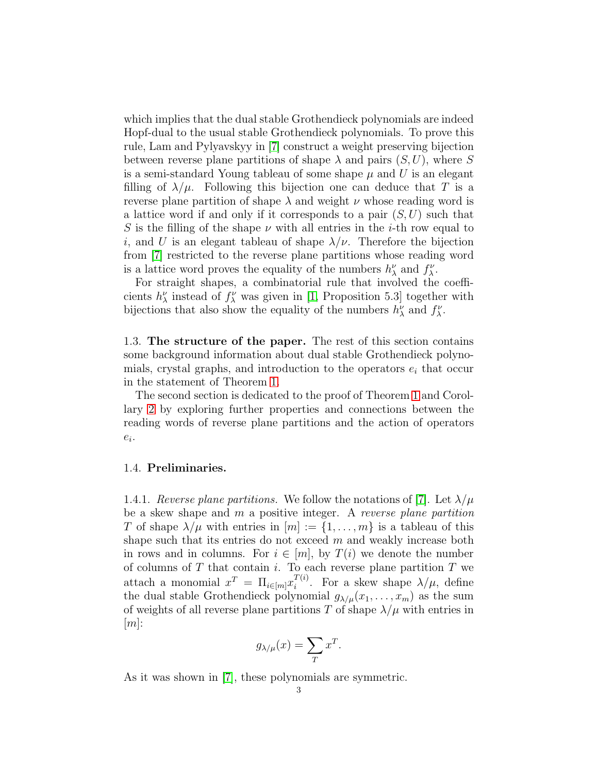which implies that the dual stable Grothendieck polynomials are indeed Hopf-dual to the usual stable Grothendieck polynomials. To prove this rule, Lam and Pylyavskyy in [\[7\]](#page-12-0) construct a weight preserving bijection between reverse plane partitions of shape  $\lambda$  and pairs  $(S, U)$ , where S is a semi-standard Young tableau of some shape  $\mu$  and U is an elegant filling of  $\lambda/\mu$ . Following this bijection one can deduce that T is a reverse plane partition of shape  $\lambda$  and weight  $\nu$  whose reading word is a lattice word if and only if it corresponds to a pair  $(S, U)$  such that S is the filling of the shape  $\nu$  with all entries in the *i*-th row equal to i, and U is an elegant tableau of shape  $\lambda/\nu$ . Therefore the bijection from [\[7\]](#page-12-0) restricted to the reverse plane partitions whose reading word is a lattice word proves the equality of the numbers  $h^{\nu}_{\lambda}$  and  $f^{\nu}_{\lambda}$ .

For straight shapes, a combinatorial rule that involved the coefficients  $h^{\nu}_{\lambda}$  instead of  $f^{\nu}_{\lambda}$  was given in [\[1,](#page-12-3) Proposition 5.3] together with bijections that also show the equality of the numbers  $h^{\nu}_{\lambda}$  and  $f^{\nu}_{\lambda}$ .

1.3. The structure of the paper. The rest of this section contains some background information about dual stable Grothendieck polynomials, crystal graphs, and introduction to the operators  $e_i$  that occur in the statement of Theorem [1.](#page-0-0)

The second section is dedicated to the proof of Theorem [1](#page-0-0) and Corollary [2](#page-1-0) by exploring further properties and connections between the reading words of reverse plane partitions and the action of operators  $e_i$ .

### 1.4. Preliminaries.

1.4.1. Reverse plane partitions. We follow the notations of [\[7\]](#page-12-0). Let  $\lambda/\mu$ be a skew shape and m a positive integer. A reverse plane partition T of shape  $\lambda/\mu$  with entries in  $[m] := \{1, \ldots, m\}$  is a tableau of this shape such that its entries do not exceed  $m$  and weakly increase both in rows and in columns. For  $i \in [m]$ , by  $T(i)$  we denote the number of columns of  $T$  that contain  $i$ . To each reverse plane partition  $T$  we attach a monomial  $x^T = \prod_{i \in [m]} x_i^{T(i)}$  $i^{I(i)}$ . For a skew shape  $\lambda/\mu$ , define the dual stable Grothendieck polynomial  $g_{\lambda/\mu}(x_1, \ldots, x_m)$  as the sum of weights of all reverse plane partitions T of shape  $\lambda/\mu$  with entries in  $[m]$ :

$$
g_{\lambda/\mu}(x) = \sum_{T} x^{T}.
$$

As it was shown in [\[7\]](#page-12-0), these polynomials are symmetric.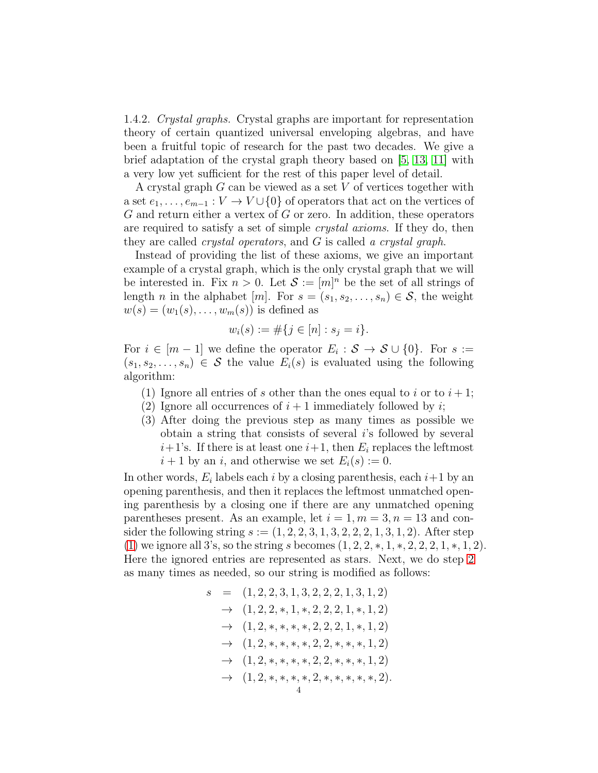<span id="page-3-2"></span>1.4.2. Crystal graphs. Crystal graphs are important for representation theory of certain quantized universal enveloping algebras, and have been a fruitful topic of research for the past two decades. We give a brief adaptation of the crystal graph theory based on [\[5,](#page-12-4) [13,](#page-13-2) [11\]](#page-13-3) with a very low yet sufficient for the rest of this paper level of detail.

A crystal graph  $G$  can be viewed as a set  $V$  of vertices together with a set  $e_1, \ldots, e_{m-1}: V \to V \cup \{0\}$  of operators that act on the vertices of  $G$  and return either a vertex of  $G$  or zero. In addition, these operators are required to satisfy a set of simple crystal axioms. If they do, then they are called *crystal operators*, and G is called a *crystal graph*.

Instead of providing the list of these axioms, we give an important example of a crystal graph, which is the only crystal graph that we will be interested in. Fix  $n > 0$ . Let  $\mathcal{S} := [m]^n$  be the set of all strings of length *n* in the alphabet [*m*]. For  $s = (s_1, s_2, \ldots, s_n) \in \mathcal{S}$ , the weight  $w(s) = (w_1(s), \ldots, w_m(s))$  is defined as

$$
w_i(s) := \#\{j \in [n] : s_j = i\}.
$$

For  $i \in [m-1]$  we define the operator  $E_i : \mathcal{S} \to \mathcal{S} \cup \{0\}$ . For  $s :=$  $(s_1, s_2, \ldots, s_n) \in \mathcal{S}$  the value  $E_i(s)$  is evaluated using the following algorithm:

- <span id="page-3-1"></span><span id="page-3-0"></span>(1) Ignore all entries of s other than the ones equal to i or to  $i+1$ ;
- (2) Ignore all occurrences of  $i + 1$  immediately followed by i;
- (3) After doing the previous step as many times as possible we obtain a string that consists of several i's followed by several  $i+1$ 's. If there is at least one  $i+1$ , then  $E_i$  replaces the leftmost  $i+1$  by an i, and otherwise we set  $E_i(s) := 0$ .

In other words,  $E_i$  labels each i by a closing parenthesis, each  $i+1$  by an opening parenthesis, and then it replaces the leftmost unmatched opening parenthesis by a closing one if there are any unmatched opening parentheses present. As an example, let  $i = 1, m = 3, n = 13$  and consider the following string  $s := (1, 2, 2, 3, 1, 3, 2, 2, 2, 1, 3, 1, 2)$ . After step [\(1\)](#page-3-0) we ignore all 3's, so the string s becomes  $(1, 2, 2, *, 1, *, 2, 2, 2, 1, *, 1, 2)$ . Here the ignored entries are represented as stars. Next, we do step [2](#page-3-1) as many times as needed, so our string is modified as follows:

s = (1, 2, 2, 3, 1, 3, 2, 2, 2, 1, 3, 1, 2) → (1, 2, 2, ∗, 1, ∗, 2, 2, 2, 1, ∗, 1, 2) → (1, 2, ∗, ∗, ∗, ∗, 2, 2, 2, 1, ∗, 1, 2) → (1, 2, ∗, ∗, ∗, ∗, 2, 2, ∗, ∗, ∗, 1, 2) → (1, 2, ∗, ∗, ∗, ∗, 2, 2, ∗, ∗, ∗, 1, 2) → (1, 2, ∗, ∗, ∗, ∗, 2, ∗, ∗, ∗, ∗, ∗, 2). 4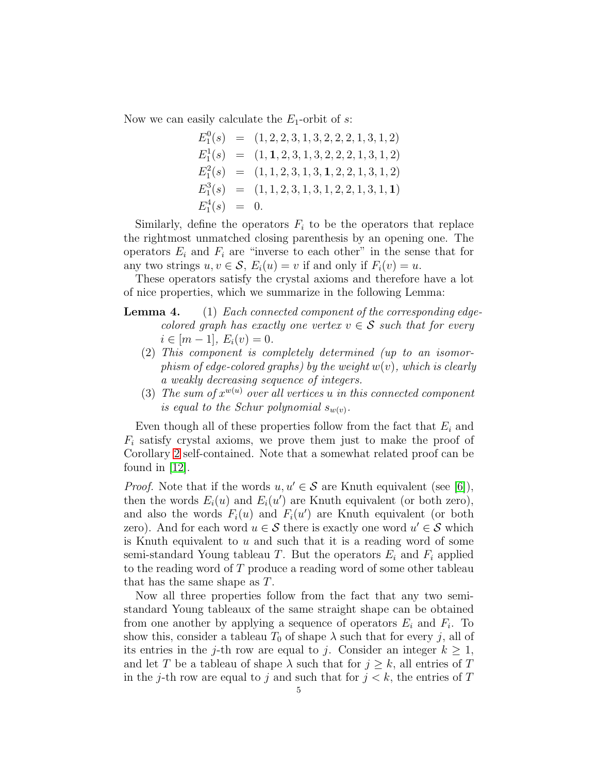Now we can easily calculate the  $E_1$ -orbit of s:

$$
E_1^0(s) = (1, 2, 2, 3, 1, 3, 2, 2, 2, 1, 3, 1, 2)
$$
  
\n
$$
E_1^1(s) = (1, 1, 2, 3, 1, 3, 2, 2, 2, 1, 3, 1, 2)
$$
  
\n
$$
E_1^2(s) = (1, 1, 2, 3, 1, 3, 1, 2, 2, 1, 3, 1, 2)
$$
  
\n
$$
E_1^3(s) = (1, 1, 2, 3, 1, 3, 1, 2, 2, 1, 3, 1, 1)
$$
  
\n
$$
E_1^4(s) = 0.
$$

Similarly, define the operators  $F_i$  to be the operators that replace the rightmost unmatched closing parenthesis by an opening one. The operators  $E_i$  and  $F_i$  are "inverse to each other" in the sense that for any two strings  $u, v \in \mathcal{S}$ ,  $E_i(u) = v$  if and only if  $F_i(v) = u$ .

These operators satisfy the crystal axioms and therefore have a lot of nice properties, which we summarize in the following Lemma:

- **Lemma 4.** (1) Each connected component of the corresponding edgecolored graph has exactly one vertex  $v \in \mathcal{S}$  such that for every  $i \in [m-1], E_i(v) = 0.$ 
	- (2) This component is completely determined (up to an isomorphism of edge-colored graphs) by the weight  $w(v)$ , which is clearly a weakly decreasing sequence of integers.
	- (3) The sum of  $x^{w(u)}$  over all vertices u in this connected component is equal to the Schur polynomial  $s_{w(v)}$ .

Even though all of these properties follow from the fact that  $E_i$  and  $F_i$  satisfy crystal axioms, we prove them just to make the proof of Corollary [2](#page-1-0) self-contained. Note that a somewhat related proof can be found in [\[12\]](#page-13-4).

*Proof.* Note that if the words  $u, u' \in \mathcal{S}$  are Knuth equivalent (see [\[6\]](#page-12-7)), then the words  $E_i(u)$  and  $E_i(u')$  are Knuth equivalent (or both zero), and also the words  $F_i(u)$  and  $F_i(u')$  are Knuth equivalent (or both zero). And for each word  $u \in \mathcal{S}$  there is exactly one word  $u' \in \mathcal{S}$  which is Knuth equivalent to  $u$  and such that it is a reading word of some semi-standard Young tableau T. But the operators  $E_i$  and  $F_i$  applied to the reading word of T produce a reading word of some other tableau that has the same shape as T.

Now all three properties follow from the fact that any two semistandard Young tableaux of the same straight shape can be obtained from one another by applying a sequence of operators  $E_i$  and  $F_i$ . To show this, consider a tableau  $T_0$  of shape  $\lambda$  such that for every j, all of its entries in the j-th row are equal to j. Consider an integer  $k \geq 1$ , and let T be a tableau of shape  $\lambda$  such that for  $j \geq k$ , all entries of T in the j-th row are equal to j and such that for  $j < k$ , the entries of T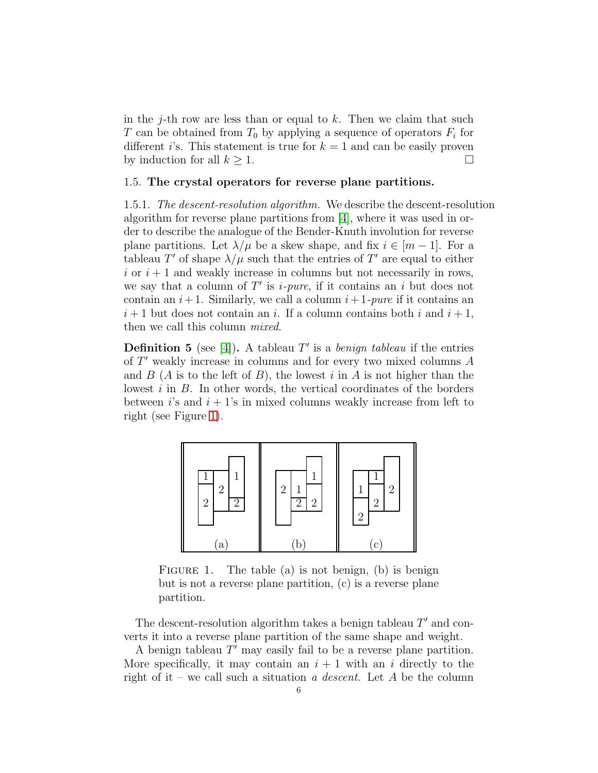in the j-th row are less than or equal to  $k$ . Then we claim that such T can be obtained from  $T_0$  by applying a sequence of operators  $F_i$  for different is statement is true for  $k = 1$  and can be easily proven by induction for all  $k \geq 1$ .

## 1.5. The crystal operators for reverse plane partitions.

1.5.1. The descent-resolution algorithm. We describe the descent-resolution algorithm for reverse plane partitions from [\[4\]](#page-12-6), where it was used in order to describe the analogue of the Bender-Knuth involution for reverse plane partitions. Let  $\lambda/\mu$  be a skew shape, and fix  $i \in [m-1]$ . For a tableau T' of shape  $\lambda/\mu$  such that the entries of T' are equal to either  $i$  or  $i + 1$  and weakly increase in columns but not necessarily in rows, we say that a column of  $T'$  is *i-pure*, if it contains an *i* but does not contain an  $i+1$ . Similarly, we call a column  $i+1$ -pure if it contains an  $i+1$  but does not contain an i. If a column contains both i and  $i+1$ , then we call this column mixed.

**Definition 5** (see [\[4\]](#page-12-6)). A tableau  $T'$  is a *benign tableau* if the entries of T ′ weakly increase in columns and for every two mixed columns A and  $B(A)$  is to the left of  $B$ ), the lowest i in A is not higher than the lowest  $i$  in  $B$ . In other words, the vertical coordinates of the borders between is and  $i + 1$ 's in mixed columns weakly increase from left to right (see Figure [1\)](#page-5-0).



<span id="page-5-0"></span>FIGURE 1. The table (a) is not benign, (b) is benign but is not a reverse plane partition, (c) is a reverse plane partition.

The descent-resolution algorithm takes a benign tableau  $T'$  and converts it into a reverse plane partition of the same shape and weight.

A benign tableau  $T'$  may easily fail to be a reverse plane partition. More specifically, it may contain an  $i + 1$  with an i directly to the right of it – we call such a situation a descent. Let A be the column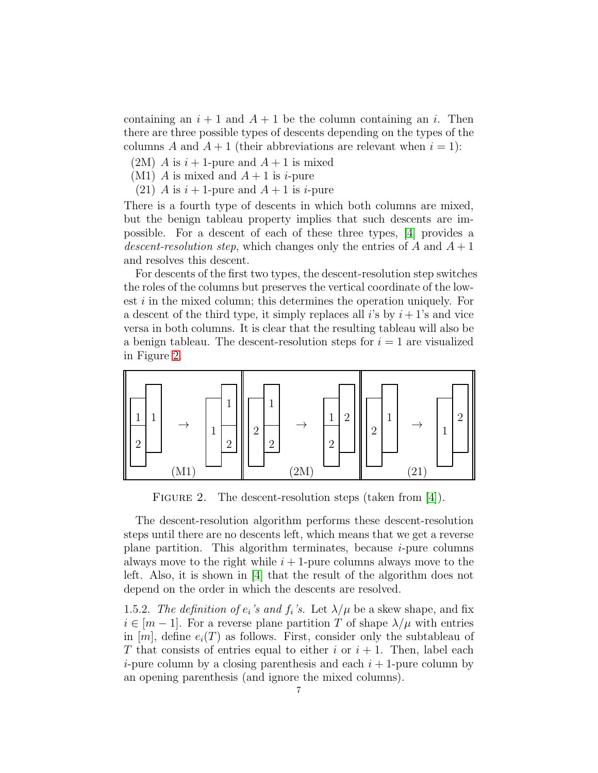containing an  $i + 1$  and  $A + 1$  be the column containing an i. Then there are three possible types of descents depending on the types of the columns A and  $A + 1$  (their abbreviations are relevant when  $i = 1$ ):

- $(2M)$  A is  $i + 1$ -pure and  $A + 1$  is mixed
- (M1) A is mixed and  $A + 1$  is *i*-pure
- (21) A is  $i+1$ -pure and  $A+1$  is *i*-pure

There is a fourth type of descents in which both columns are mixed, but the benign tableau property implies that such descents are impossible. For a descent of each of these three types, [\[4\]](#page-12-6) provides a descent-resolution step, which changes only the entries of  $A$  and  $A + 1$ and resolves this descent.

For descents of the first two types, the descent-resolution step switches the roles of the columns but preserves the vertical coordinate of the lowest *i* in the mixed column; this determines the operation uniquely. For a descent of the third type, it simply replaces all i's by  $i + 1$ 's and vice versa in both columns. It is clear that the resulting tableau will also be a benign tableau. The descent-resolution steps for  $i = 1$  are visualized in Figure [2.](#page-6-0)



<span id="page-6-0"></span>FIGURE 2. The descent-resolution steps (taken from [\[4\]](#page-12-6)).

The descent-resolution algorithm performs these descent-resolution steps until there are no descents left, which means that we get a reverse plane partition. This algorithm terminates, because  $i$ -pure columns always move to the right while  $i + 1$ -pure columns always move to the left. Also, it is shown in [\[4\]](#page-12-6) that the result of the algorithm does not depend on the order in which the descents are resolved.

1.5.2. The definition of  $e_i$ 's and  $f_i$ 's. Let  $\lambda/\mu$  be a skew shape, and fix  $i \in [m-1]$ . For a reverse plane partition T of shape  $\lambda/\mu$  with entries in  $[m]$ , define  $e_i(T)$  as follows. First, consider only the subtableau of T that consists of entries equal to either i or  $i + 1$ . Then, label each *i*-pure column by a closing parenthesis and each  $i + 1$ -pure column by an opening parenthesis (and ignore the mixed columns).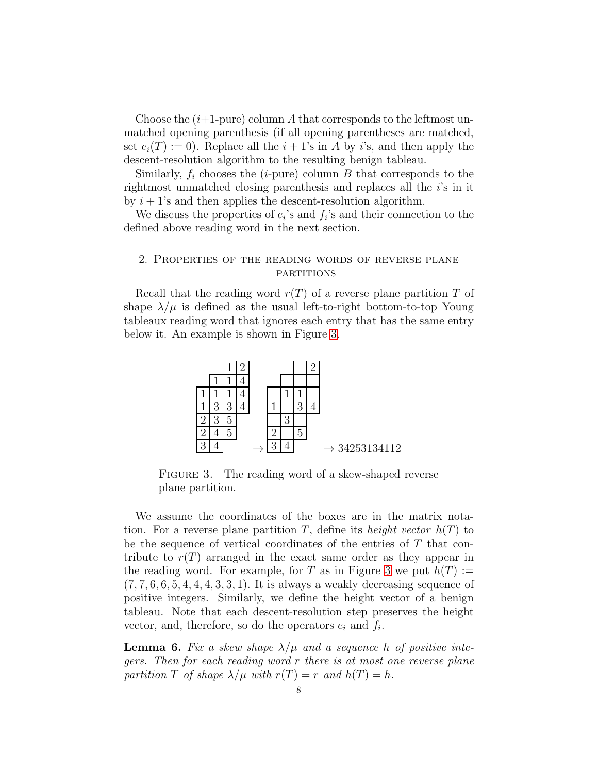Choose the  $(i+1$ -pure) column A that corresponds to the leftmost unmatched opening parenthesis (if all opening parentheses are matched, set  $e_i(T) := 0$ . Replace all the  $i + 1$ 's in A by i's, and then apply the descent-resolution algorithm to the resulting benign tableau.

Similarly,  $f_i$  chooses the (*i*-pure) column B that corresponds to the rightmost unmatched closing parenthesis and replaces all the i's in it by  $i + 1$ 's and then applies the descent-resolution algorithm.

We discuss the properties of  $e_i$ 's and  $f_i$ 's and their connection to the defined above reading word in the next section.

## 2. Properties of the reading words of reverse plane **PARTITIONS**

Recall that the reading word  $r(T)$  of a reverse plane partition T of shape  $\lambda/\mu$  is defined as the usual left-to-right bottom-to-top Young tableaux reading word that ignores each entry that has the same entry below it. An example is shown in Figure [3.](#page-7-0)



<span id="page-7-0"></span>FIGURE 3. The reading word of a skew-shaped reverse plane partition.

We assume the coordinates of the boxes are in the matrix notation. For a reverse plane partition T, define its *height vector*  $h(T)$  to be the sequence of vertical coordinates of the entries of  $T$  that contribute to  $r(T)$  arranged in the exact same order as they appear in the reading word. For example, for T as in Figure [3](#page-7-0) we put  $h(T) :=$  $(7, 7, 6, 6, 5, 4, 4, 4, 3, 3, 1)$ . It is always a weakly decreasing sequence of positive integers. Similarly, we define the height vector of a benign tableau. Note that each descent-resolution step preserves the height vector, and, therefore, so do the operators  $e_i$  and  $f_i$ .

<span id="page-7-1"></span>**Lemma 6.** Fix a skew shape  $\lambda/\mu$  and a sequence h of positive integers. Then for each reading word r there is at most one reverse plane partition T of shape  $\lambda/\mu$  with  $r(T) = r$  and  $h(T) = h$ .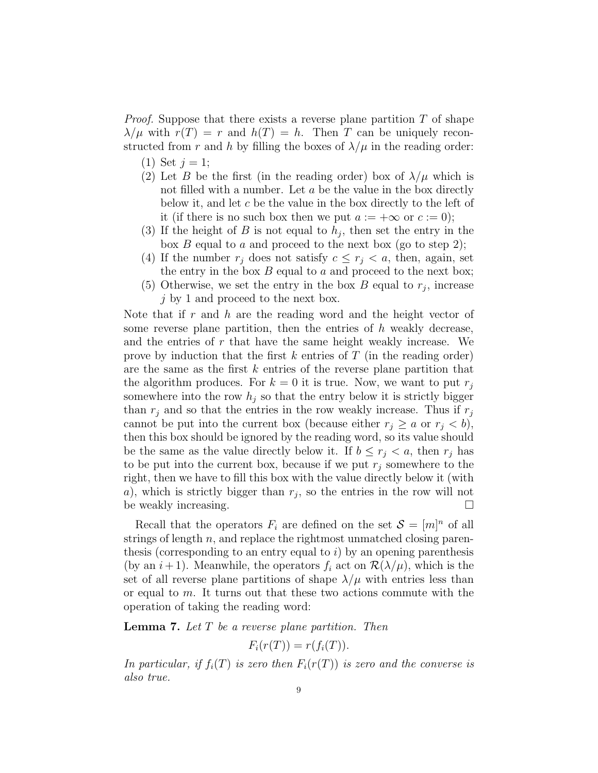*Proof.* Suppose that there exists a reverse plane partition  $T$  of shape  $\lambda/\mu$  with  $r(T) = r$  and  $h(T) = h$ . Then T can be uniquely reconstructed from r and h by filling the boxes of  $\lambda/\mu$  in the reading order:

- (1) Set  $j = 1$ ;
- (2) Let B be the first (in the reading order) box of  $\lambda/\mu$  which is not filled with a number. Let  $a$  be the value in the box directly below it, and let c be the value in the box directly to the left of it (if there is no such box then we put  $a := +\infty$  or  $c := 0$ );
- (3) If the height of B is not equal to  $h_j$ , then set the entry in the box  $B$  equal to  $a$  and proceed to the next box (go to step 2);
- (4) If the number  $r_i$  does not satisfy  $c \leq r_i < a$ , then, again, set the entry in the box  $B$  equal to  $a$  and proceed to the next box;
- (5) Otherwise, we set the entry in the box  $B$  equal to  $r_j$ , increase  $j$  by 1 and proceed to the next box.

Note that if  $r$  and  $h$  are the reading word and the height vector of some reverse plane partition, then the entries of  $h$  weakly decrease, and the entries of r that have the same height weakly increase. We prove by induction that the first  $k$  entries of  $T$  (in the reading order) are the same as the first  $k$  entries of the reverse plane partition that the algorithm produces. For  $k = 0$  it is true. Now, we want to put  $r_i$ somewhere into the row  $h_j$  so that the entry below it is strictly bigger than  $r_j$  and so that the entries in the row weakly increase. Thus if  $r_j$ cannot be put into the current box (because either  $r_i \ge a$  or  $r_i < b$ ), then this box should be ignored by the reading word, so its value should be the same as the value directly below it. If  $b \leq r_i < a$ , then  $r_i$  has to be put into the current box, because if we put  $r_i$  somewhere to the right, then we have to fill this box with the value directly below it (with a), which is strictly bigger than  $r_j$ , so the entries in the row will not be weakly increasing.

Recall that the operators  $F_i$  are defined on the set  $\mathcal{S} = [m]^n$  of all strings of length  $n$ , and replace the rightmost unmatched closing parenthesis (corresponding to an entry equal to  $i$ ) by an opening parenthesis (by an  $i+1$ ). Meanwhile, the operators  $f_i$  act on  $\mathcal{R}(\lambda/\mu)$ , which is the set of all reverse plane partitions of shape  $\lambda/\mu$  with entries less than or equal to m. It turns out that these two actions commute with the operation of taking the reading word:

<span id="page-8-0"></span>**Lemma 7.** Let  $T$  be a reverse plane partition. Then

$$
F_i(r(T)) = r(f_i(T)).
$$

In particular, if  $f_i(T)$  is zero then  $F_i(r(T))$  is zero and the converse is also true.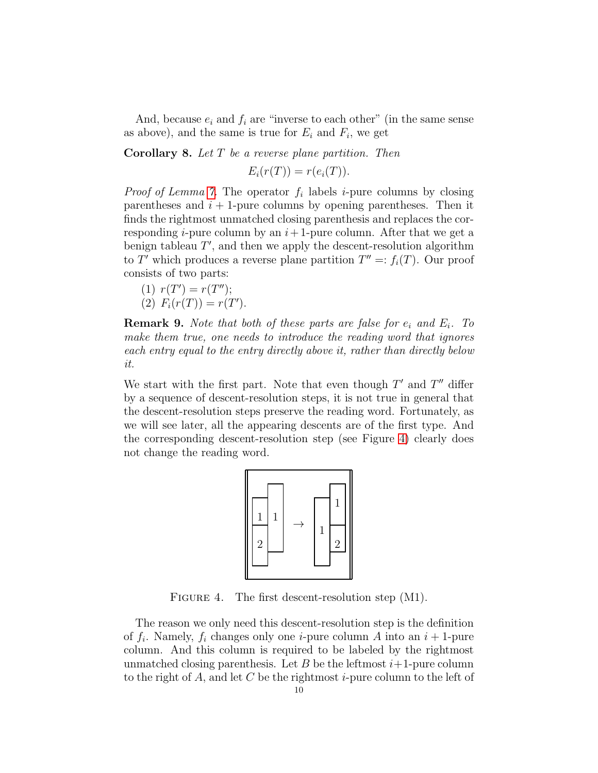And, because  $e_i$  and  $f_i$  are "inverse to each other" (in the same sense as above), and the same is true for  $E_i$  and  $F_i$ , we get

**Corollary 8.** Let  $T$  be a reverse plane partition. Then

 $E_i(r(T)) = r(e_i(T)).$ 

*Proof of Lemma [7.](#page-8-0)* The operator  $f_i$  labels *i*-pure columns by closing parentheses and  $i + 1$ -pure columns by opening parentheses. Then it finds the rightmost unmatched closing parenthesis and replaces the corresponding *i*-pure column by an  $i+1$ -pure column. After that we get a benign tableau  $T'$ , and then we apply the descent-resolution algorithm to  $T'$  which produces a reverse plane partition  $T'' =: f_i(T)$ . Our proof consists of two parts:

(1)  $r(T') = r(T'')$ ; (2)  $F_i(r(T)) = r(T')$ .

**Remark 9.** Note that both of these parts are false for  $e_i$  and  $E_i$ . To make them true, one needs to introduce the reading word that ignores each entry equal to the entry directly above it, rather than directly below it.

We start with the first part. Note that even though  $T'$  and  $T''$  differ by a sequence of descent-resolution steps, it is not true in general that the descent-resolution steps preserve the reading word. Fortunately, as we will see later, all the appearing descents are of the first type. And the corresponding descent-resolution step (see Figure [4\)](#page-9-0) clearly does not change the reading word.



<span id="page-9-0"></span>FIGURE 4. The first descent-resolution step  $(M1)$ .

The reason we only need this descent-resolution step is the definition of  $f_i$ . Namely,  $f_i$  changes only one *i*-pure column A into an  $i + 1$ -pure column. And this column is required to be labeled by the rightmost unmatched closing parenthesis. Let B be the leftmost  $i+1$ -pure column to the right of A, and let C be the rightmost *i*-pure column to the left of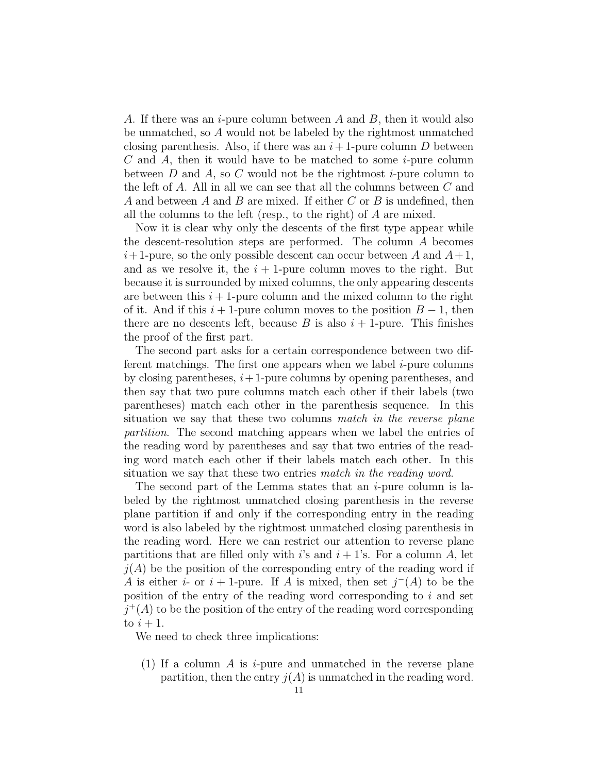A. If there was an *i*-pure column between A and B, then it would also be unmatched, so A would not be labeled by the rightmost unmatched closing parenthesis. Also, if there was an  $i+1$ -pure column D between  $C$  and  $A$ , then it would have to be matched to some *i*-pure column between D and A, so C would not be the rightmost  $i$ -pure column to the left of  $A$ . All in all we can see that all the columns between  $C$  and A and between A and B are mixed. If either C or B is undefined, then all the columns to the left (resp., to the right) of A are mixed.

Now it is clear why only the descents of the first type appear while the descent-resolution steps are performed. The column A becomes  $i+1$ -pure, so the only possible descent can occur between A and  $A+1$ , and as we resolve it, the  $i + 1$ -pure column moves to the right. But because it is surrounded by mixed columns, the only appearing descents are between this  $i + 1$ -pure column and the mixed column to the right of it. And if this  $i + 1$ -pure column moves to the position  $B - 1$ , then there are no descents left, because B is also  $i + 1$ -pure. This finishes the proof of the first part.

The second part asks for a certain correspondence between two different matchings. The first one appears when we label  $i$ -pure columns by closing parentheses,  $i+1$ -pure columns by opening parentheses, and then say that two pure columns match each other if their labels (two parentheses) match each other in the parenthesis sequence. In this situation we say that these two columns match in the reverse plane partition. The second matching appears when we label the entries of the reading word by parentheses and say that two entries of the reading word match each other if their labels match each other. In this situation we say that these two entries match in the reading word.

The second part of the Lemma states that an  $i$ -pure column is labeled by the rightmost unmatched closing parenthesis in the reverse plane partition if and only if the corresponding entry in the reading word is also labeled by the rightmost unmatched closing parenthesis in the reading word. Here we can restrict our attention to reverse plane partitions that are filled only with i's and  $i + 1$ 's. For a column A, let  $j(A)$  be the position of the corresponding entry of the reading word if A is either i- or i + 1-pure. If A is mixed, then set  $j^-(A)$  to be the position of the entry of the reading word corresponding to  $i$  and set  $j^+(A)$  to be the position of the entry of the reading word corresponding to  $i+1$ .

We need to check three implications:

(1) If a column A is  $i$ -pure and unmatched in the reverse plane partition, then the entry  $j(A)$  is unmatched in the reading word.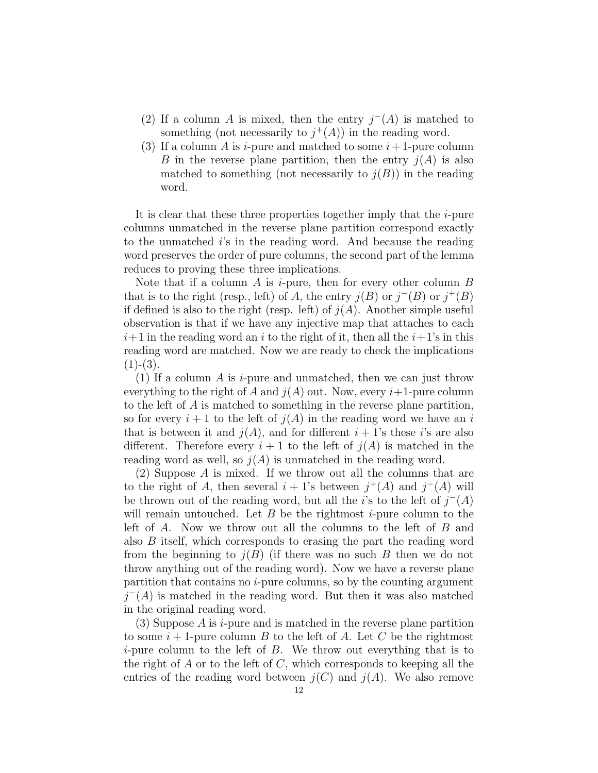- (2) If a column A is mixed, then the entry  $j^-(A)$  is matched to something (not necessarily to  $j^+(A)$ ) in the reading word.
- (3) If a column A is *i*-pure and matched to some  $i+1$ -pure column B in the reverse plane partition, then the entry  $j(A)$  is also matched to something (not necessarily to  $j(B)$ ) in the reading word.

It is clear that these three properties together imply that the  $i$ -pure columns unmatched in the reverse plane partition correspond exactly to the unmatched i's in the reading word. And because the reading word preserves the order of pure columns, the second part of the lemma reduces to proving these three implications.

Note that if a column A is *i*-pure, then for every other column  $B$ that is to the right (resp., left) of A, the entry  $j(B)$  or  $j^-(B)$  or  $j^+(B)$ if defined is also to the right (resp. left) of  $j(A)$ . Another simple useful observation is that if we have any injective map that attaches to each  $i+1$  in the reading word an i to the right of it, then all the  $i+1$ 's in this reading word are matched. Now we are ready to check the implications  $(1)-(3).$ 

(1) If a column A is *i*-pure and unmatched, then we can just throw everything to the right of A and  $j(A)$  out. Now, every  $i+1$ -pure column to the left of A is matched to something in the reverse plane partition, so for every  $i+1$  to the left of  $j(A)$  in the reading word we have an i that is between it and  $j(A)$ , and for different  $i + 1$ 's these i's are also different. Therefore every  $i + 1$  to the left of  $j(A)$  is matched in the reading word as well, so  $j(A)$  is unmatched in the reading word.

(2) Suppose A is mixed. If we throw out all the columns that are to the right of A, then several  $i + 1$ 's between  $j^+(A)$  and  $j^-(A)$  will be thrown out of the reading word, but all the i's to the left of  $j^-(A)$ will remain untouched. Let  $B$  be the rightmost *i*-pure column to the left of A. Now we throw out all the columns to the left of B and also B itself, which corresponds to erasing the part the reading word from the beginning to  $j(B)$  (if there was no such B then we do not throw anything out of the reading word). Now we have a reverse plane partition that contains no  $i$ -pure columns, so by the counting argument  $j^-(A)$  is matched in the reading word. But then it was also matched in the original reading word.

(3) Suppose  $A$  is  $i$ -pure and is matched in the reverse plane partition to some  $i+1$ -pure column B to the left of A. Let C be the rightmost *i*-pure column to the left of  $B$ . We throw out everything that is to the right of  $A$  or to the left of  $C$ , which corresponds to keeping all the entries of the reading word between  $j(C)$  and  $j(A)$ . We also remove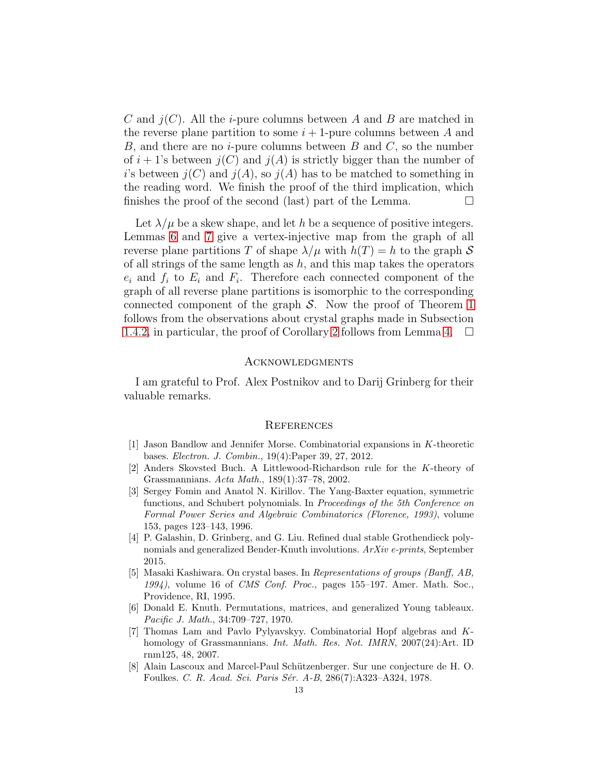C and  $j(C)$ . All the *i*-pure columns between A and B are matched in the reverse plane partition to some  $i+1$ -pure columns between A and B, and there are no *i*-pure columns between B and C, so the number of  $i + 1$ 's between  $j(C)$  and  $j(A)$  is strictly bigger than the number of i's between  $j(C)$  and  $j(A)$ , so  $j(A)$  has to be matched to something in the reading word. We finish the proof of the third implication, which finishes the proof of the second (last) part of the Lemma.  $\Box$ 

Let  $\lambda/\mu$  be a skew shape, and let h be a sequence of positive integers. Lemmas [6](#page-7-1) and [7](#page-8-0) give a vertex-injective map from the graph of all reverse plane partitions T of shape  $\lambda/\mu$  with  $h(T) = h$  to the graph S of all strings of the same length as  $h$ , and this map takes the operators  $e_i$  and  $f_i$  to  $E_i$  and  $F_i$ . Therefore each connected component of the graph of all reverse plane partitions is isomorphic to the corresponding connected component of the graph  $S$ . Now the proof of Theorem [1](#page-0-0) follows from the observations about crystal graphs made in Subsection [1.4.2,](#page-3-2) in particular, the proof of Corollary [2](#page-1-0) follows from Lemma 4.  $\Box$ 

### **ACKNOWLEDGMENTS**

I am grateful to Prof. Alex Postnikov and to Darij Grinberg for their valuable remarks.

#### **REFERENCES**

- <span id="page-12-3"></span>[1] Jason Bandlow and Jennifer Morse. Combinatorial expansions in K-theoretic bases. Electron. J. Combin., 19(4):Paper 39, 27, 2012.
- <span id="page-12-2"></span>[2] Anders Skovsted Buch. A Littlewood-Richardson rule for the K-theory of Grassmannians. Acta Math., 189(1):37–78, 2002.
- <span id="page-12-1"></span>[3] Sergey Fomin and Anatol N. Kirillov. The Yang-Baxter equation, symmetric functions, and Schubert polynomials. In *Proceedings of the 5th Conference on* Formal Power Series and Algebraic Combinatorics (Florence, 1993), volume 153, pages 123–143, 1996.
- <span id="page-12-6"></span>[4] P. Galashin, D. Grinberg, and G. Liu. Refined dual stable Grothendieck polynomials and generalized Bender-Knuth involutions. ArXiv e-prints, September 2015.
- <span id="page-12-4"></span>[5] Masaki Kashiwara. On crystal bases. In Representations of groups (Banff, AB, 1994), volume 16 of CMS Conf. Proc., pages 155–197. Amer. Math. Soc., Providence, RI, 1995.
- <span id="page-12-7"></span>[6] Donald E. Knuth. Permutations, matrices, and generalized Young tableaux. Pacific J. Math., 34:709–727, 1970.
- <span id="page-12-0"></span>[7] Thomas Lam and Pavlo Pylyavskyy. Combinatorial Hopf algebras and Khomology of Grassmannians. Int. Math. Res. Not. IMRN, 2007(24):Art. ID rnm125, 48, 2007.
- <span id="page-12-5"></span>[8] Alain Lascoux and Marcel-Paul Schützenberger. Sur une conjecture de H.O. Foulkes. C. R. Acad. Sci. Paris Sér. A-B, 286(7):A323-A324, 1978.